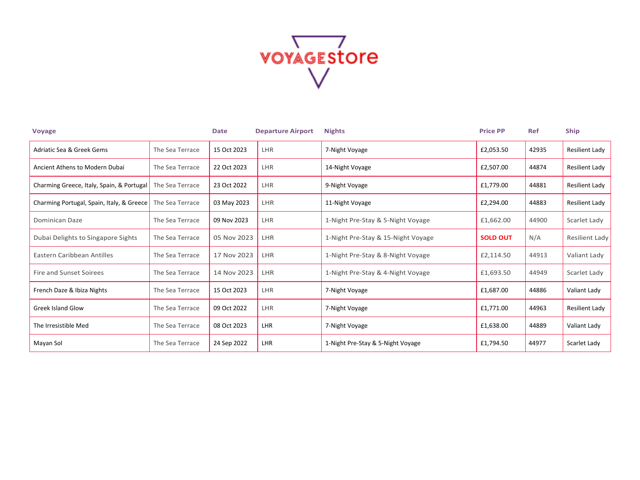

| <b>Voyage</b>                             |                 | <b>Date</b> | <b>Departure Airport</b> | <b>Nights</b>                      | <b>Price PP</b> | <b>Ref</b> | <b>Ship</b>    |
|-------------------------------------------|-----------------|-------------|--------------------------|------------------------------------|-----------------|------------|----------------|
| Adriatic Sea & Greek Gems                 | The Sea Terrace | 15 Oct 2023 | LHR                      | 7-Night Voyage                     | £2,053.50       | 42935      | Resilient Lady |
| Ancient Athens to Modern Dubai            | The Sea Terrace | 22 Oct 2023 | LHR                      | 14-Night Voyage                    | £2,507.00       | 44874      | Resilient Lady |
| Charming Greece, Italy, Spain, & Portugal | The Sea Terrace | 23 Oct 2022 | LHR                      | 9-Night Voyage                     | £1,779.00       | 44881      | Resilient Lady |
| Charming Portugal, Spain, Italy, & Greece | The Sea Terrace | 03 May 2023 | LHR                      | 11-Night Voyage                    | £2,294.00       | 44883      | Resilient Lady |
| Dominican Daze                            | The Sea Terrace | 09 Nov 2023 | LHR                      | 1-Night Pre-Stay & 5-Night Voyage  | £1,662.00       | 44900      | Scarlet Lady   |
| Dubai Delights to Singapore Sights        | The Sea Terrace | 05 Nov 2023 | LHR                      | 1-Night Pre-Stay & 15-Night Voyage | <b>SOLD OUT</b> | N/A        | Resilient Lady |
| Eastern Caribbean Antilles                | The Sea Terrace | 17 Nov 2023 | <b>LHR</b>               | 1-Night Pre-Stay & 8-Night Voyage  | £2,114.50       | 44913      | Valiant Lady   |
| Fire and Sunset Soirees                   | The Sea Terrace | 14 Nov 2023 | <b>LHR</b>               | 1-Night Pre-Stay & 4-Night Voyage  | £1,693.50       | 44949      | Scarlet Lady   |
| French Daze & Ibiza Nights                | The Sea Terrace | 15 Oct 2023 | LHR                      | 7-Night Voyage                     | £1,687.00       | 44886      | Valiant Lady   |
| <b>Greek Island Glow</b>                  | The Sea Terrace | 09 Oct 2022 | LHR                      | 7-Night Voyage                     | £1,771.00       | 44963      | Resilient Lady |
| The Irresistible Med                      | The Sea Terrace | 08 Oct 2023 | LHR                      | 7-Night Voyage                     | £1,638.00       | 44889      | Valiant Lady   |
| Mayan Sol                                 | The Sea Terrace | 24 Sep 2022 | LHR                      | 1-Night Pre-Stay & 5-Night Voyage  | £1,794.50       | 44977      | Scarlet Lady   |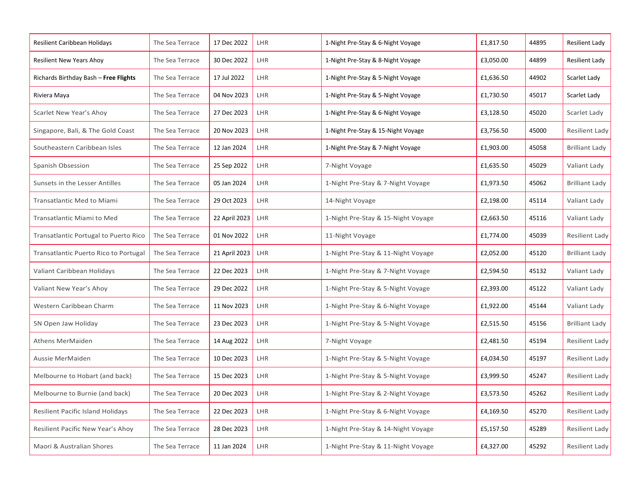| Resilient Caribbean Holidays             | The Sea Terrace | 17 Dec 2022   | LHR        | 1-Night Pre-Stay & 6-Night Voyage  | £1,817.50 | 44895 | Resilient Lady        |
|------------------------------------------|-----------------|---------------|------------|------------------------------------|-----------|-------|-----------------------|
| <b>Resilient New Years Ahoy</b>          | The Sea Terrace | 30 Dec 2022   | LHR        | 1-Night Pre-Stay & 8-Night Voyage  | £3,050.00 | 44899 | Resilient Lady        |
| Richards Birthday Bash - Free Flights    | The Sea Terrace | 17 Jul 2022   | LHR        | 1-Night Pre-Stay & 5-Night Voyage  | £1,636.50 | 44902 | Scarlet Lady          |
| Riviera Maya                             | The Sea Terrace | 04 Nov 2023   | LHR        | 1-Night Pre-Stay & 5-Night Voyage  | £1,730.50 | 45017 | Scarlet Lady          |
| Scarlet New Year's Ahoy                  | The Sea Terrace | 27 Dec 2023   | LHR        | 1-Night Pre-Stay & 6-Night Voyage  | £3,128.50 | 45020 | Scarlet Lady          |
| Singapore, Bali, & The Gold Coast        | The Sea Terrace | 20 Nov 2023   | LHR        | 1-Night Pre-Stay & 15-Night Voyage | £3,756.50 | 45000 | Resilient Lady        |
| Southeastern Caribbean Isles             | The Sea Terrace | 12 Jan 2024   | LHR        | 1-Night Pre-Stay & 7-Night Voyage  | £1,903.00 | 45058 | <b>Brilliant Lady</b> |
| Spanish Obsession                        | The Sea Terrace | 25 Sep 2022   | LHR        | 7-Night Voyage                     | £1,635.50 | 45029 | Valiant Lady          |
| Sunsets in the Lesser Antilles           | The Sea Terrace | 05 Jan 2024   | LHR        | 1-Night Pre-Stay & 7-Night Voyage  | £1,973.50 | 45062 | <b>Brilliant Lady</b> |
| Transatlantic Med to Miami               | The Sea Terrace | 29 Oct 2023   | LHR        | 14-Night Voyage                    | £2,198.00 | 45114 | Valiant Lady          |
| Transatlantic Miami to Med               | The Sea Terrace | 22 April 2023 | LHR        | 1-Night Pre-Stay & 15-Night Voyage | £2,663.50 | 45116 | Valiant Lady          |
| Transatlantic Portugal to Puerto Rico    | The Sea Terrace | 01 Nov 2022   | LHR        | 11-Night Voyage                    | £1,774.00 | 45039 | Resilient Lady        |
| Transatlantic Puerto Rico to Portugal    | The Sea Terrace | 21 April 2023 | LHR        | 1-Night Pre-Stay & 11-Night Voyage | £2,052.00 | 45120 | <b>Brilliant Lady</b> |
| Valiant Caribbean Holidays               | The Sea Terrace | 22 Dec 2023   | LHR        | 1-Night Pre-Stay & 7-Night Voyage  | £2,594.50 | 45132 | Valiant Lady          |
| Valiant New Year's Ahoy                  | The Sea Terrace | 29 Dec 2022   | LHR        | 1-Night Pre-Stay & 5-Night Voyage  | £2,393.00 | 45122 | Valiant Lady          |
| Western Caribbean Charm                  | The Sea Terrace | 11 Nov 2023   | <b>LHR</b> | 1-Night Pre-Stay & 6-Night Voyage  | £1,922.00 | 45144 | Valiant Lady          |
| 5N Open Jaw Holiday                      | The Sea Terrace | 23 Dec 2023   | LHR        | 1-Night Pre-Stay & 5-Night Voyage  | £2,515.50 | 45156 | <b>Brilliant Lady</b> |
| Athens MerMaiden                         | The Sea Terrace | 14 Aug 2022   | LHR        | 7-Night Voyage                     | £2,481.50 | 45194 | Resilient Lady        |
| Aussie MerMaiden                         | The Sea Terrace | 10 Dec 2023   | LHR        | 1-Night Pre-Stay & 5-Night Voyage  | £4,034.50 | 45197 | Resilient Lady        |
| Melbourne to Hobart (and back)           | The Sea Terrace | 15 Dec 2023   | LHR        | 1-Night Pre-Stay & 5-Night Voyage  | £3,999.50 | 45247 | Resilient Lady        |
| Melbourne to Burnie (and back)           | The Sea Terrace | 20 Dec 2023   | LHR        | 1-Night Pre-Stay & 2-Night Voyage  | £3,573.50 | 45262 | Resilient Lady        |
| <b>Resilient Pacific Island Holidays</b> | The Sea Terrace | 22 Dec 2023   | LHR        | 1-Night Pre-Stay & 6-Night Voyage  | £4,169.50 | 45270 | Resilient Lady        |
| Resilient Pacific New Year's Ahoy        | The Sea Terrace | 28 Dec 2023   | LHR        | 1-Night Pre-Stay & 14-Night Voyage | £5,157.50 | 45289 | Resilient Lady        |
| Maori & Australian Shores                | The Sea Terrace | 11 Jan 2024   | LHR        | 1-Night Pre-Stay & 11-Night Voyage | £4,327.00 | 45292 | Resilient Lady        |